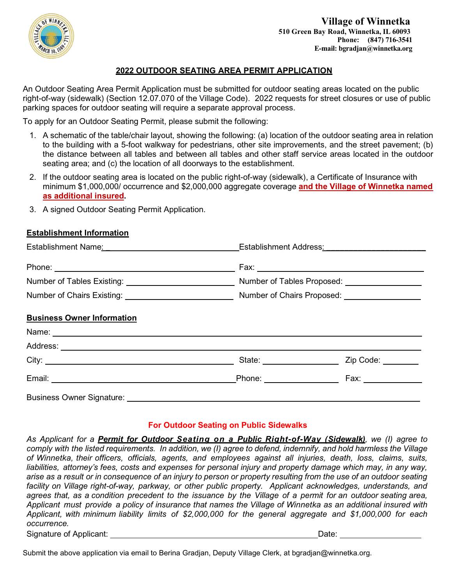

### **2022 OUTDOOR SEATING AREA PERMIT APPLICATION**

An Outdoor Seating Area Permit Application must be submitted for outdoor seating areas located on the public right-of-way (sidewalk) (Section 12.07.070 of the Village Code). 2022 requests for street closures or use of public parking spaces for outdoor seating will require a separate approval process.

To apply for an Outdoor Seating Permit, please submit the following:

- 1. A schematic of the table/chair layout, showing the following: (a) location of the outdoor seating area in relation to the building with a 5-foot walkway for pedestrians, other site improvements, and the street pavement; (b) the distance between all tables and between all tables and other staff service areas located in the outdoor seating area; and (c) the location of all doorways to the establishment.
- 2. If the outdoor seating area is located on the public right-of-way (sidewalk), a Certificate of Insurance with minimum \$1,000,000/ occurrence and \$2,000,000 aggregate coverage **and the Village of Winnetka named as additional insured.**
- 3. A signed Outdoor Seating Permit Application.

#### **Establishment Information**

|                                   | Number of Tables Existing: 1990 Mumber of Tables Proposed: 2008. 2009 Mumber of Tables Proposed: |                                                          |
|-----------------------------------|--------------------------------------------------------------------------------------------------|----------------------------------------------------------|
|                                   | Number of Chairs Existing: Number of Chairs Proposed: Number of Chairs Proposed:                 |                                                          |
| <b>Business Owner Information</b> |                                                                                                  |                                                          |
|                                   |                                                                                                  |                                                          |
|                                   |                                                                                                  |                                                          |
|                                   |                                                                                                  | State: <u>Charles City Code:</u> Zip Code: Charles Code: |
|                                   |                                                                                                  |                                                          |
| <b>Business Owner Signature:</b>  |                                                                                                  |                                                          |

#### **For Outdoor Seating on Public Sidewalks**

*As Applicant for a Permit for Outdoor Seating on a Public Right-of-Way (Sidewalk), we (I) agree to* comply with the listed requirements. In addition, we (I) agree to defend, indemnify, and hold harmless the Village *of Winnetka, their officers, officials, agents, and employees against all injuries, death, loss, claims, suits, liabilities, attorney's fees, costs and expenses for personal injury and property damage which may, in any way,* arise as a result or in consequence of an injury to person or property resulting from the use of an outdoor seating *facility on Village right-of-way, parkway, or other public property. Applicant acknowledges, understands, and* agrees that, as a condition precedent to the issuance by the Village of a permit for an outdoor seating area, *Applicant must provide a policy of insurance that names the Village of Winnetka as an additional insured with Applicant, with minimum liability limits of \$2,000,000 for the general aggregate and \$1,000,000 for each occurrence.*

Signature of Applicant: Network and Solid Contract and Solid Contract Date:

Submit the above application via email to Berina Gradjan, Deputy Village Clerk, at bgradjan@winnetka.org.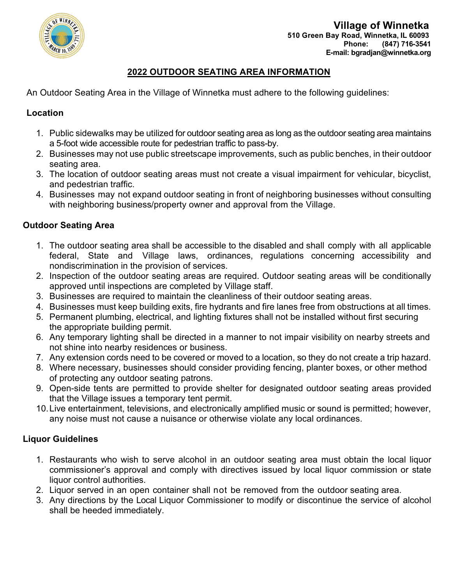

# **2022 OUTDOOR SEATING AREA INFORMATION**

An Outdoor Seating Area in the Village of Winnetka must adhere to the following guidelines:

### **Location**

- 1. Public sidewalks may be utilized for outdoor seating area as long as the outdoor seating area maintains a 5-foot wide accessible route for pedestrian traffic to pass-by.
- 2. Businesses may not use public streetscape improvements, such as public benches, in their outdoor seating area.
- 3. The location of outdoor seating areas must not create a visual impairment for vehicular, bicyclist, and pedestrian traffic.
- 4. Businesses may not expand outdoor seating in front of neighboring businesses without consulting with neighboring business/property owner and approval from the Village.

### **Outdoor Seating Area**

- 1. The outdoor seating area shall be accessible to the disabled and shall comply with all applicable federal, State and Village laws, ordinances, regulations concerning accessibility and nondiscrimination in the provision of services.
- 2. Inspection of the outdoor seating areas are required. Outdoor seating areas will be conditionally approved until inspections are completed by Village staff.
- 3. Businesses are required to maintain the cleanliness of their outdoor seating areas.
- 4. Businesses must keep building exits, fire hydrants and fire lanes free from obstructions at all times.
- 5. Permanent plumbing, electrical, and lighting fixtures shall not be installed without first securing the appropriate building permit.
- 6. Any temporary lighting shall be directed in a manner to not impair visibility on nearby streets and not shine into nearby residences or business.
- 7. Any extension cords need to be covered or moved to a location, so they do not create a trip hazard.
- 8. Where necessary, businesses should consider providing fencing, planter boxes, or other method of protecting any outdoor seating patrons.
- 9. Open-side tents are permitted to provide shelter for designated outdoor seating areas provided that the Village issues a temporary tent permit.
- 10.Live entertainment, televisions, and electronically amplified music or sound is permitted; however, any noise must not cause a nuisance or otherwise violate any local ordinances.

# **Liquor Guidelines**

- 1. Restaurants who wish to serve alcohol in an outdoor seating area must obtain the local liquor commissioner's approval and comply with directives issued by local liquor commission or state liquor control authorities.
- 2. Liquor served in an open container shall not be removed from the outdoor seating area.
- 3. Any directions by the Local Liquor Commissioner to modify or discontinue the service of alcohol shall be heeded immediately.